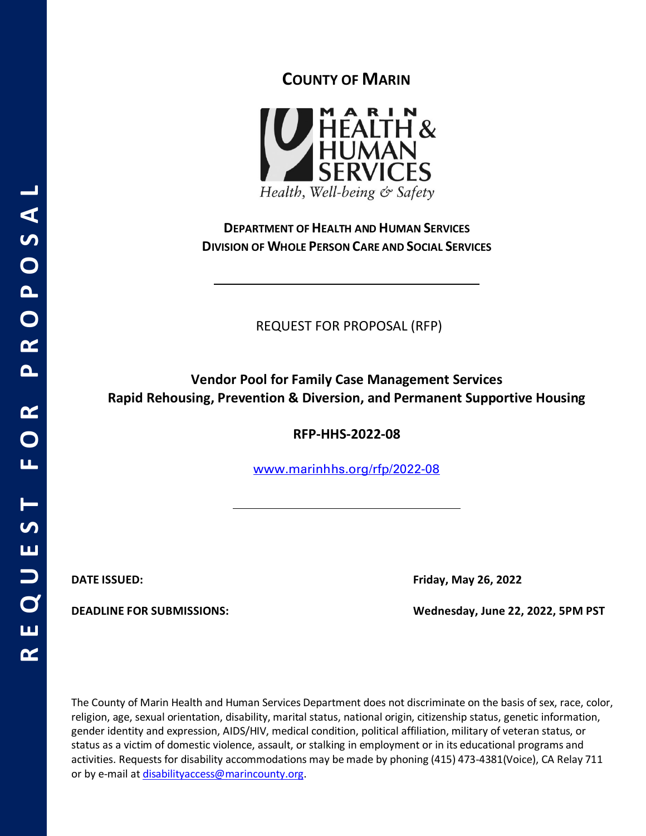

**COUNTY OF MARIN**

Health, Well-being & Safety

**DEPARTMENT OF HEALTH AND HUMAN SERVICES DIVISION OF WHOLE PERSON CARE AND SOCIAL SERVICES**

REQUEST FOR PROPOSAL (RFP)

**Vendor Pool for Family Case Management Services Rapid Rehousing, Prevention & Diversion, and Permanent Supportive Housing**

**RFP-HHS-2022-08**

[www.marinhhs.org/rfp/2022-08](http://www.marinhhs.org/rfp/2022-08)

**DATE ISSUED: Friday, May 26, 2022**

**DEADLINE FOR SUBMISSIONS: Wednesday, June 22, 2022, 5PM PST**

The County of Marin Health and Human Services Department does not discriminate on the basis of sex, race, color, religion, age, sexual orientation, disability, marital status, national origin, citizenship status, genetic information, gender identity and expression, AIDS/HIV, medical condition, political affiliation, military of veteran status, or status as a victim of domestic violence, assault, or stalking in employment or in its educational programs and activities. Requests for disability accommodations may be made by phoning (415) 473-4381(Voice), CA Relay 711 or by e-mail a[t disabilityaccess@marincounty.org.](mailto:disabilityaccess@marincounty.org)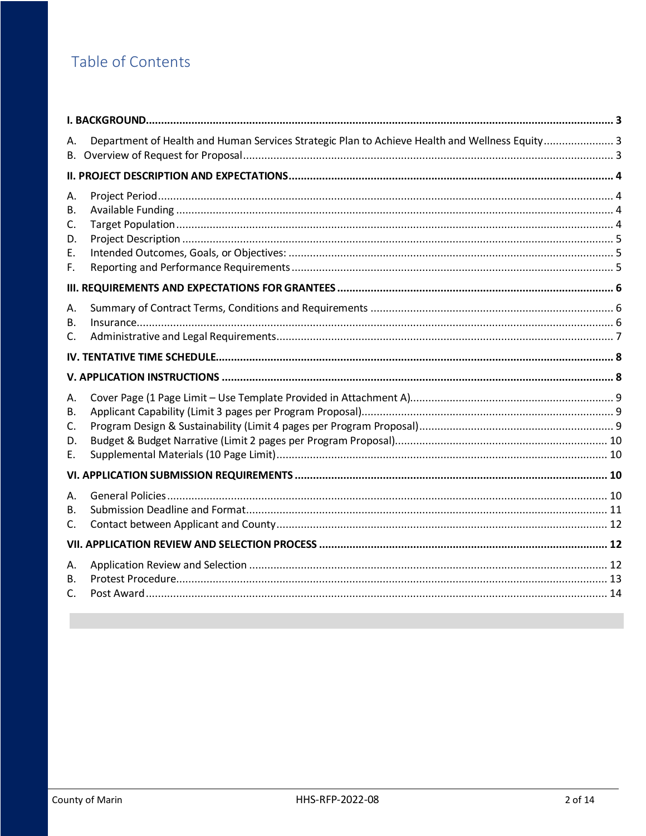# Table of Contents

| А.                               | Department of Health and Human Services Strategic Plan to Achieve Health and Wellness Equity 3 |  |
|----------------------------------|------------------------------------------------------------------------------------------------|--|
|                                  |                                                                                                |  |
| А.<br>В.<br>C.<br>D.<br>E.<br>F. |                                                                                                |  |
| А.<br>В.<br>C.                   |                                                                                                |  |
|                                  |                                                                                                |  |
|                                  |                                                                                                |  |
|                                  |                                                                                                |  |
| А.<br>В.<br>C.<br>D.<br>Е.       |                                                                                                |  |
|                                  |                                                                                                |  |
| Α.<br>В.<br>C.                   |                                                                                                |  |
|                                  |                                                                                                |  |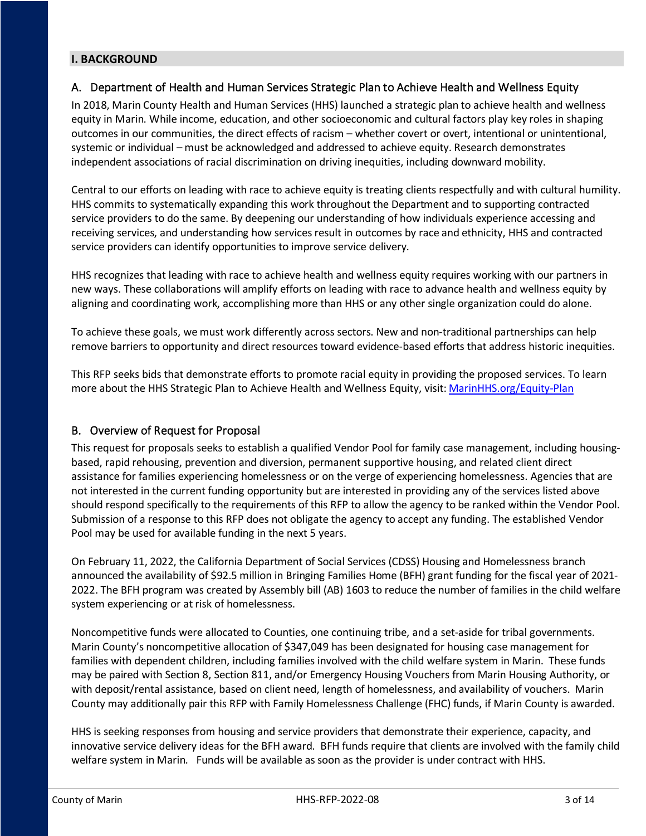### <span id="page-2-1"></span><span id="page-2-0"></span>**I. BACKGROUND**

### A. Department of Health and Human Services Strategic Plan to Achieve Health and Wellness Equity

In 2018, Marin County Health and Human Services (HHS) launched a strategic plan to achieve health and wellness equity in Marin. While income, education, and other socioeconomic and cultural factors play key roles in shaping outcomes in our communities, the direct effects of racism – whether covert or overt, intentional or unintentional, systemic or individual – must be acknowledged and addressed to achieve equity. Research demonstrates independent associations of racial discrimination on driving inequities, including downward mobility.

Central to our efforts on leading with race to achieve equity is treating clients respectfully and with cultural humility. HHS commits to systematically expanding this work throughout the Department and to supporting contracted service providers to do the same. By deepening our understanding of how individuals experience accessing and receiving services, and understanding how services result in outcomes by race and ethnicity, HHS and contracted service providers can identify opportunities to improve service delivery.

HHS recognizes that leading with race to achieve health and wellness equity requires working with our partners in new ways. These collaborations will amplify efforts on leading with race to advance health and wellness equity by aligning and coordinating work, accomplishing more than HHS or any other single organization could do alone.

To achieve these goals, we must work differently across sectors. New and non-traditional partnerships can help remove barriers to opportunity and direct resources toward evidence-based efforts that address historic inequities.

This RFP seeks bids that demonstrate efforts to promote racial equity in providing the proposed services. To learn more about the HHS Strategic Plan to Achieve Health and Wellness Equity, visit[: MarinHHS.org/Equity-Plan](http://www.marinhhs.org/Equity-Plan)

### <span id="page-2-2"></span>B. Overview of Request for Proposal

This request for proposals seeks to establish a qualified Vendor Pool for family case management, including housingbased, rapid rehousing, prevention and diversion, permanent supportive housing, and related client direct assistance for families experiencing homelessness or on the verge of experiencing homelessness. Agencies that are not interested in the current funding opportunity but are interested in providing any of the services listed above should respond specifically to the requirements of this RFP to allow the agency to be ranked within the Vendor Pool. Submission of a response to this RFP does not obligate the agency to accept any funding. The established Vendor Pool may be used for available funding in the next 5 years.

On February 11, 2022, the California Department of Social Services (CDSS) Housing and Homelessness branch announced the availability of \$92.5 million in Bringing Families Home (BFH) grant funding for the fiscal year of 2021- 2022. The BFH program was created by Assembly bill (AB) 1603 to reduce the number of families in the child welfare system experiencing or at risk of homelessness.

Noncompetitive funds were allocated to Counties, one continuing tribe, and a set-aside for tribal governments. Marin County's noncompetitive allocation of \$347,049 has been designated for housing case management for families with dependent children, including families involved with the child welfare system in Marin. These funds may be paired with Section 8, Section 811, and/or Emergency Housing Vouchers from Marin Housing Authority, or with deposit/rental assistance, based on client need, length of homelessness, and availability of vouchers. Marin County may additionally pair this RFP with Family Homelessness Challenge (FHC) funds, if Marin County is awarded.

HHS is seeking responses from housing and service providers that demonstrate their experience, capacity, and innovative service delivery ideas for the BFH award. BFH funds require that clients are involved with the family child welfare system in Marin. Funds will be available as soon as the provider is under contract with HHS.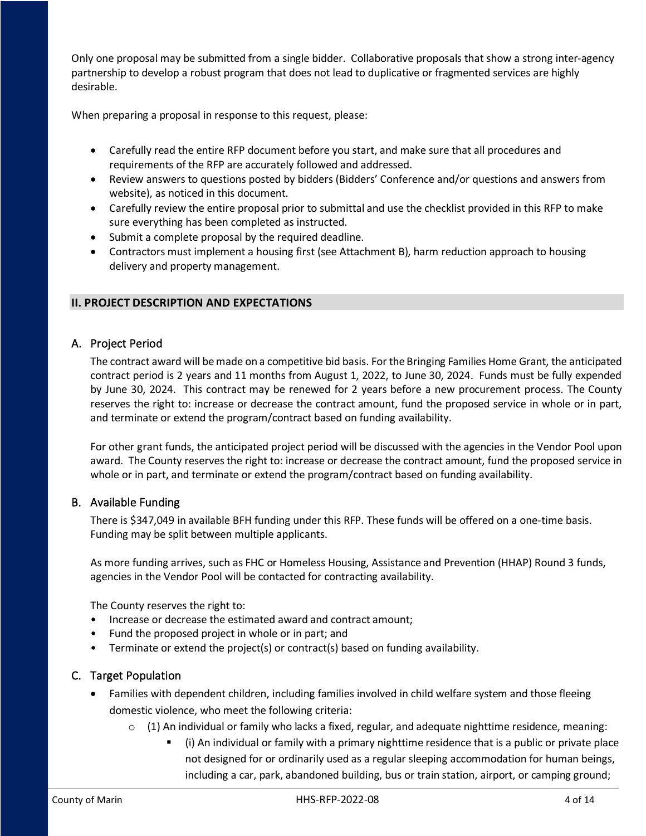Only one proposal may be submitted from a single bidder. Collaborative proposals that show a strong inter-agency partnership to develop a robust program that does not lead to duplicative or fragmented services are highly desirable.

When preparing a proposal in response to this request, please:

- Carefully read the entire RFP document before you start, and make sure that all procedures and requirements of the RFP are accurately followed and addressed.
- Review answers to questions posted by bidders (Bidders' Conference and/or questions and answers from website), as noticed in this document.
- Carefully review the entire proposal prior to submittal and use the checklist provided in this RFP to make sure everything has been completed as instructed.
- Submit a complete proposal by the required deadline.
- Contractors must implement a housing first (see Attachment B), harm reduction approach to housing delivery and property management.

### <span id="page-3-0"></span>**II. PROJECT DESCRIPTION AND EXPECTATIONS**

### <span id="page-3-1"></span>A. Project Period

The contract award will be made on a competitive bid basis. For the Bringing Families Home Grant, the anticipated contract period is 2 years and 11 months from August 1, 2022, to June 30, 2024. Funds must be fully expended by June 30, 2024. This contract may be renewed for 2 years before a new procurement process. The County reserves the right to: increase or decrease the contract amount, fund the proposed service in whole or in part, and terminate or extend the program/contract based on funding availability.

For other grant funds, the anticipated project period will be discussed with the agencies in the Vendor Pool upon award. The County reserves the right to: increase or decrease the contract amount, fund the proposed service in whole or in part, and terminate or extend the program/contract based on funding availability.

### <span id="page-3-2"></span>B. Available Funding

There is \$347,049 in available BFH funding under this RFP. These funds will be offered on a one-time basis. Funding may be split between multiple applicants.

As more funding arrives, such as FHC or Homeless Housing, Assistance and Prevention (HHAP) Round 3 funds, agencies in the Vendor Pool will be contacted for contracting availability.

The County reserves the right to:

- Increase or decrease the estimated award and contract amount;
- Fund the proposed project in whole or in part; and
- Terminate or extend the project(s) or contract(s) based on funding availability.

### <span id="page-3-3"></span>C. Target Population

- Families with dependent children, including families involved in child welfare system and those fleeing domestic violence, who meet the following criteria:
	- $\circ$  (1) An individual or family who lacks a fixed, regular, and adequate nighttime residence, meaning:
		- (i) An individual or family with a primary nighttime residence that is a public or private place not designed for or ordinarily used as a regular sleeping accommodation for human beings, including a car, park, abandoned building, bus or train station, airport, or camping ground;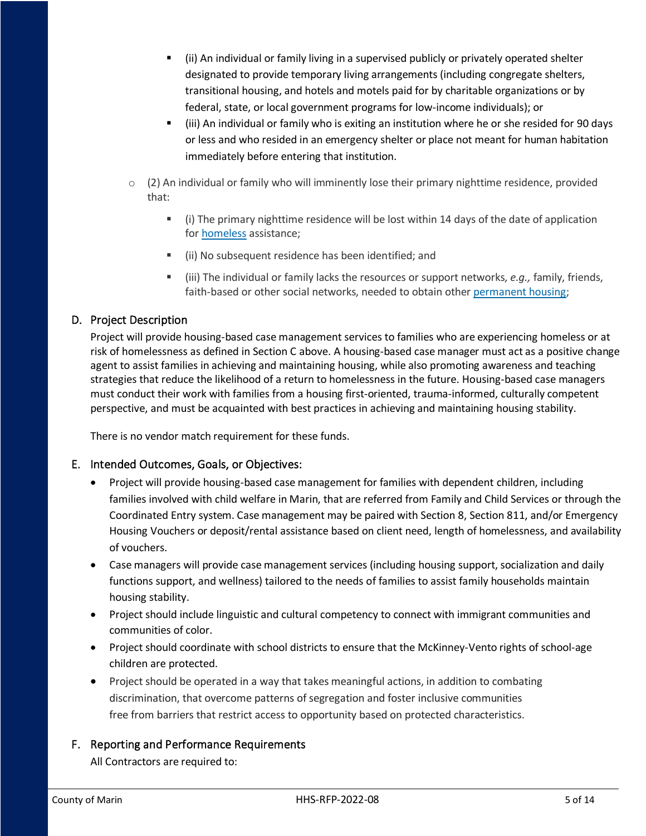- (ii) An individual or family living in a supervised publicly or privately operated shelter designated to provide temporary living arrangements (including congregate shelters, transitional housing, and hotels and motels paid for by charitable organizations or by federal, state, or local government programs for low-income individuals); or
- (iii) An individual or family who is exiting an institution where he or she resided for 90 days or less and who resided in an emergency shelter or place not meant for human habitation immediately before entering that institution.
- $\circ$  (2) An individual or family who will imminently lose their primary nighttime residence, provided that:
	- (i) The primary nighttime residence will be lost within 14 days of the date of application for [homeless](https://www.law.cornell.edu/definitions/index.php?width=840&height=800&iframe=true&def_id=da1f15b500b4abf5b417c094db4e4377&term_occur=999&term_src=Title:24:Subtitle:B:Chapter:V:Subchapter:C:Part:578:Subpart:A:578.3) assistance;
	- (ii) No subsequent residence has been identified; and
	- (iii) The individual or family lacks the resources or support networks, *e.g.,* family, friends, faith-based or other social networks, needed to obtain other [permanent housing;](https://www.law.cornell.edu/definitions/index.php?width=840&height=800&iframe=true&def_id=88992943089e19e438be3cc544bb2d51&term_occur=999&term_src=Title:24:Subtitle:B:Chapter:V:Subchapter:C:Part:578:Subpart:A:578.3)

# <span id="page-4-0"></span>D. Project Description

Project will provide housing-based case management services to families who are experiencing homeless or at risk of homelessness as defined in Section C above. A housing-based case manager must act as a positive change agent to assist families in achieving and maintaining housing, while also promoting awareness and teaching strategies that reduce the likelihood of a return to homelessness in the future. Housing-based case managers must conduct their work with families from a housing first-oriented, trauma-informed, culturally competent perspective, and must be acquainted with best practices in achieving and maintaining housing stability.

There is no vendor match requirement for these funds.

### <span id="page-4-1"></span>E. Intended Outcomes, Goals, or Objectives:

- Project will provide housing-based case management for families with dependent children, including families involved with child welfare in Marin, that are referred from Family and Child Services or through the Coordinated Entry system. Case management may be paired with Section 8, Section 811, and/or Emergency Housing Vouchers or deposit/rental assistance based on client need, length of homelessness, and availability of vouchers.
- Case managers will provide case management services (including housing support, socialization and daily functions support, and wellness) tailored to the needs of families to assist family households maintain housing stability.
- Project should include linguistic and cultural competency to connect with immigrant communities and communities of color.
- Project should coordinate with school districts to ensure that the McKinney-Vento rights of school-age children are protected.
- Project should be operated in a way that takes meaningful actions, in addition to combating discrimination, that overcome patterns of segregation and foster inclusive communities free from barriers that restrict access to opportunity based on protected characteristics.

### <span id="page-4-2"></span>F. Reporting and Performance Requirements

All Contractors are required to: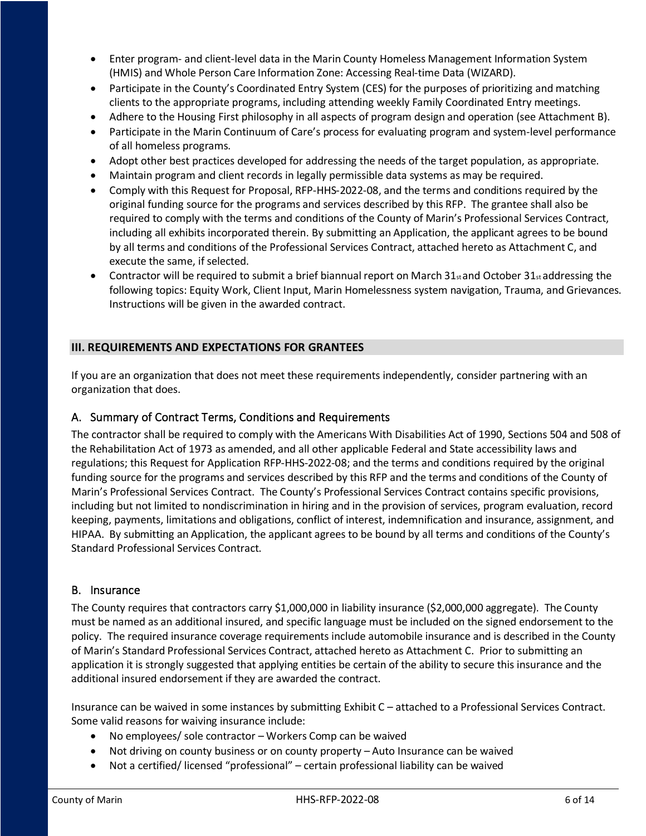- Enter program- and client-level data in the Marin County Homeless Management Information System (HMIS) and Whole Person Care Information Zone: Accessing Real-time Data (WIZARD).
- Participate in the County's Coordinated Entry System (CES) for the purposes of prioritizing and matching clients to the appropriate programs, including attending weekly Family Coordinated Entry meetings.
- Adhere to the Housing First philosophy in all aspects of program design and operation (see Attachment B).
- Participate in the Marin Continuum of Care's process for evaluating program and system-level performance of all homeless programs.
- Adopt other best practices developed for addressing the needs of the target population, as appropriate.
- Maintain program and client records in legally permissible data systems as may be required.
- Comply with this Request for Proposal, RFP-HHS-2022-08, and the terms and conditions required by the original funding source for the programs and services described by this RFP. The grantee shall also be required to comply with the terms and conditions of the County of Marin's Professional Services Contract, including all exhibits incorporated therein. By submitting an Application, the applicant agrees to be bound by all terms and conditions of the Professional Services Contract, attached hereto as Attachment C, and execute the same, if selected.
- Contractor will be required to submit a brief biannual report on March  $31_{st}$  and October  $31_{st}$  addressing the following topics: Equity Work, Client Input, Marin Homelessness system navigation, Trauma, and Grievances. Instructions will be given in the awarded contract.

### <span id="page-5-0"></span>**III. REQUIREMENTS AND EXPECTATIONS FOR GRANTEES**

If you are an organization that does not meet these requirements independently, consider partnering with an organization that does.

### <span id="page-5-1"></span>A. Summary of Contract Terms, Conditions and Requirements

The contractor shall be required to comply with the Americans With Disabilities Act of 1990, Sections 504 and 508 of the Rehabilitation Act of 1973 as amended, and all other applicable Federal and State accessibility laws and regulations; this Request for Application RFP-HHS-2022-08; and the terms and conditions required by the original funding source for the programs and services described by this RFP and the terms and conditions of the County of Marin's Professional Services Contract. The County's Professional Services Contract contains specific provisions, including but not limited to nondiscrimination in hiring and in the provision of services, program evaluation, record keeping, payments, limitations and obligations, conflict of interest, indemnification and insurance, assignment, and HIPAA. By submitting an Application, the applicant agrees to be bound by all terms and conditions of the County's Standard Professional Services Contract.

#### <span id="page-5-2"></span>B. Insurance

The County requires that contractors carry \$1,000,000 in liability insurance (\$2,000,000 aggregate). The County must be named as an additional insured, and specific language must be included on the signed endorsement to the policy. The required insurance coverage requirements include automobile insurance and is described in the County of Marin's Standard Professional Services Contract, attached hereto as Attachment C. Prior to submitting an application it is strongly suggested that applying entities be certain of the ability to secure this insurance and the additional insured endorsement if they are awarded the contract.

Insurance can be waived in some instances by submitting Exhibit C – attached to a Professional Services Contract. Some valid reasons for waiving insurance include:

- No employees/ sole contractor Workers Comp can be waived
- Not driving on county business or on county property Auto Insurance can be waived
- Not a certified/ licensed "professional" certain professional liability can be waived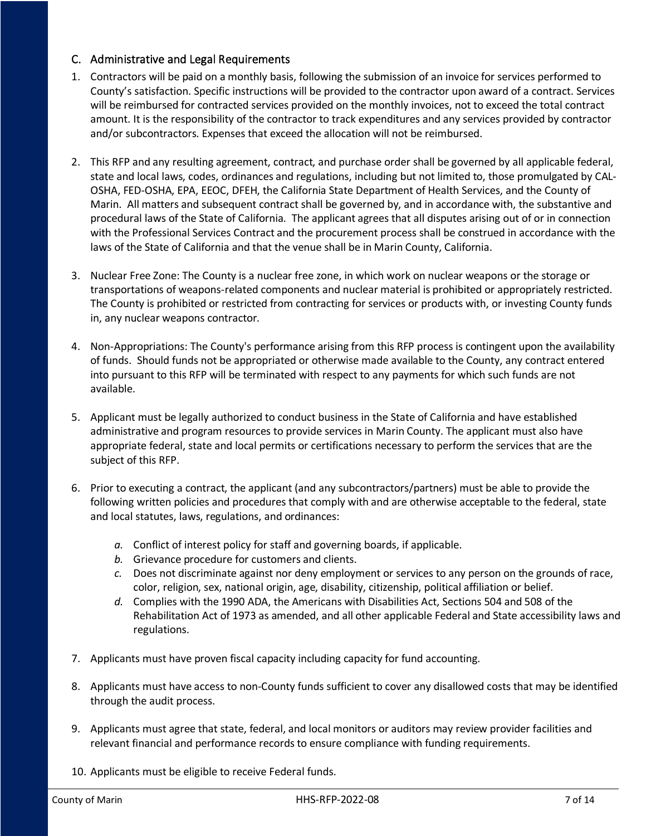### <span id="page-6-0"></span>C. Administrative and Legal Requirements

- 1. Contractors will be paid on a monthly basis, following the submission of an invoice for services performed to County's satisfaction. Specific instructions will be provided to the contractor upon award of a contract. Services will be reimbursed for contracted services provided on the monthly invoices, not to exceed the total contract amount. It is the responsibility of the contractor to track expenditures and any services provided by contractor and/or subcontractors. Expenses that exceed the allocation will not be reimbursed.
- 2. This RFP and any resulting agreement, contract, and purchase order shall be governed by all applicable federal, state and local laws, codes, ordinances and regulations, including but not limited to, those promulgated by CAL-OSHA, FED-OSHA, EPA, EEOC, DFEH, the California State Department of Health Services, and the County of Marin. All matters and subsequent contract shall be governed by, and in accordance with, the substantive and procedural laws of the State of California. The applicant agrees that all disputes arising out of or in connection with the Professional Services Contract and the procurement process shall be construed in accordance with the laws of the State of California and that the venue shall be in Marin County, California.
- 3. Nuclear Free Zone: The County is a nuclear free zone, in which work on nuclear weapons or the storage or transportations of weapons-related components and nuclear material is prohibited or appropriately restricted. The County is prohibited or restricted from contracting for services or products with, or investing County funds in, any nuclear weapons contractor.
- 4. Non-Appropriations: The County's performance arising from this RFP process is contingent upon the availability of funds. Should funds not be appropriated or otherwise made available to the County, any contract entered into pursuant to this RFP will be terminated with respect to any payments for which such funds are not available.
- 5. Applicant must be legally authorized to conduct business in the State of California and have established administrative and program resources to provide services in Marin County. The applicant must also have appropriate federal, state and local permits or certifications necessary to perform the services that are the subject of this RFP.
- 6. Prior to executing a contract, the applicant (and any subcontractors/partners) must be able to provide the following written policies and procedures that comply with and are otherwise acceptable to the federal, state and local statutes, laws, regulations, and ordinances:
	- *a.* Conflict of interest policy for staff and governing boards, if applicable.
	- *b.* Grievance procedure for customers and clients.
	- *c.* Does not discriminate against nor deny employment or services to any person on the grounds of race, color, religion, sex, national origin, age, disability, citizenship, political affiliation or belief.
	- *d.* Complies with the 1990 ADA, the Americans with Disabilities Act, Sections 504 and 508 of the Rehabilitation Act of 1973 as amended, and all other applicable Federal and State accessibility laws and regulations.
- 7. Applicants must have proven fiscal capacity including capacity for fund accounting.
- 8. Applicants must have access to non-County funds sufficient to cover any disallowed costs that may be identified through the audit process.
- 9. Applicants must agree that state, federal, and local monitors or auditors may review provider facilities and relevant financial and performance records to ensure compliance with funding requirements.
- 10. Applicants must be eligible to receive Federal funds.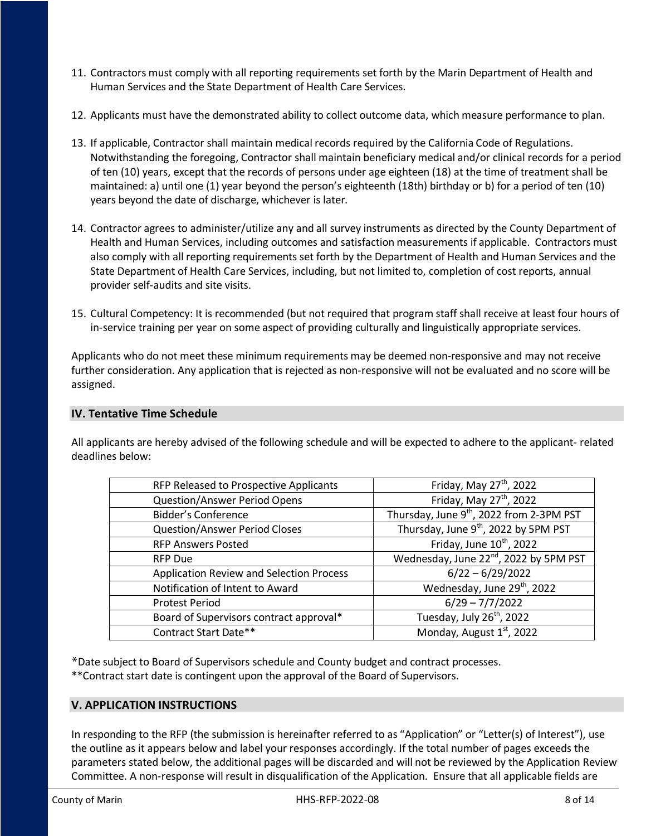- 11. Contractors must comply with all reporting requirements set forth by the Marin Department of Health and Human Services and the State Department of Health Care Services.
- 12. Applicants must have the demonstrated ability to collect outcome data, which measure performance to plan.
- 13. If applicable, Contractor shall maintain medical records required by the California Code of Regulations. Notwithstanding the foregoing, Contractor shall maintain beneficiary medical and/or clinical records for a period of ten (10) years, except that the records of persons under age eighteen (18) at the time of treatment shall be maintained: a) until one (1) year beyond the person's eighteenth (18th) birthday or b) for a period of ten (10) years beyond the date of discharge, whichever is later.
- 14. Contractor agrees to administer/utilize any and all survey instruments as directed by the County Department of Health and Human Services, including outcomes and satisfaction measurements if applicable. Contractors must also comply with all reporting requirements set forth by the Department of Health and Human Services and the State Department of Health Care Services, including, but not limited to, completion of cost reports, annual provider self-audits and site visits.
- 15. Cultural Competency: It is recommended (but not required that program staff shall receive at least four hours of in-service training per year on some aspect of providing culturally and linguistically appropriate services.

Applicants who do not meet these minimum requirements may be deemed non-responsive and may not receive further consideration. Any application that is rejected as non-responsive will not be evaluated and no score will be assigned.

### <span id="page-7-0"></span>**IV. Tentative Time Schedule**

All applicants are hereby advised of the following schedule and will be expected to adhere to the applicant- related deadlines below:

| RFP Released to Prospective Applicants          | Friday, May $27th$ , 2022                            |
|-------------------------------------------------|------------------------------------------------------|
| <b>Question/Answer Period Opens</b>             | Friday, May 27 <sup>th</sup> , 2022                  |
| <b>Bidder's Conference</b>                      | Thursday, June 9 <sup>th</sup> , 2022 from 2-3PM PST |
| <b>Question/Answer Period Closes</b>            | Thursday, June 9 <sup>th</sup> , 2022 by 5PM PST     |
| <b>RFP Answers Posted</b>                       | Friday, June 10 <sup>th</sup> , 2022                 |
| <b>RFP Due</b>                                  | Wednesday, June 22 <sup>nd</sup> , 2022 by 5PM PST   |
| <b>Application Review and Selection Process</b> | $6/22 - 6/29/2022$                                   |
| Notification of Intent to Award                 | Wednesday, June 29 <sup>th</sup> , 2022              |
| <b>Protest Period</b>                           | $6/29 - 7/7/2022$                                    |
| Board of Supervisors contract approval*         | Tuesday, July 26 <sup>th</sup> , 2022                |
| Contract Start Date**                           | Monday, August 1st, 2022                             |
|                                                 |                                                      |

\*Date subject to Board of Supervisors schedule and County budget and contract processes. \*\*Contract start date is contingent upon the approval of the Board of Supervisors.

### <span id="page-7-1"></span>**V. APPLICATION INSTRUCTIONS**

In responding to the RFP (the submission is hereinafter referred to as "Application" or "Letter(s) of Interest"), use the outline as it appears below and label your responses accordingly. If the total number of pages exceeds the parameters stated below, the additional pages will be discarded and will not be reviewed by the Application Review Committee. A non-response will result in disqualification of the Application. Ensure that all applicable fields are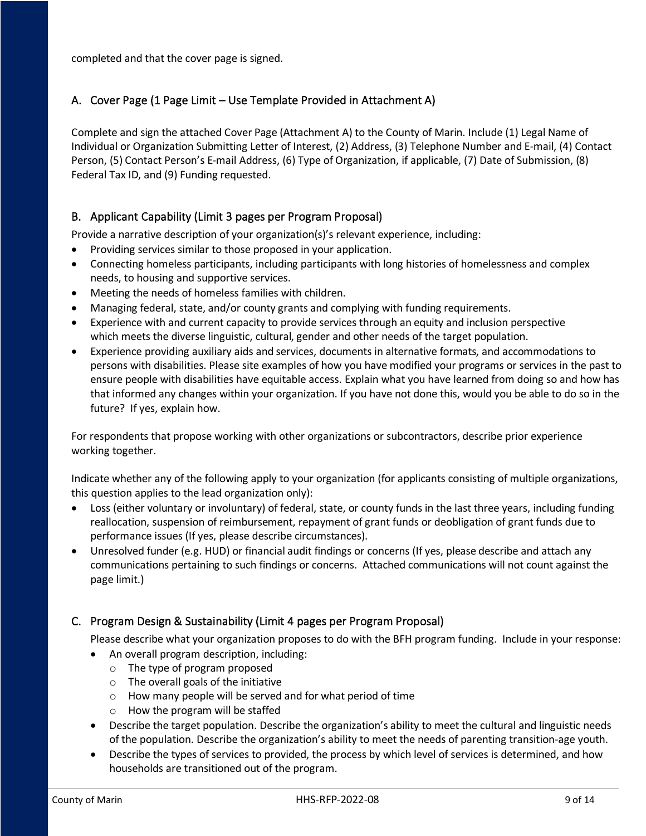completed and that the cover page is signed.

# <span id="page-8-0"></span>A. Cover Page (1 Page Limit – Use Template Provided in Attachment A)

Complete and sign the attached Cover Page (Attachment A) to the County of Marin. Include (1) Legal Name of Individual or Organization Submitting Letter of Interest, (2) Address, (3) Telephone Number and E-mail, (4) Contact Person, (5) Contact Person's E-mail Address, (6) Type of Organization, if applicable, (7) Date of Submission, (8) Federal Tax ID, and (9) Funding requested.

# <span id="page-8-1"></span>B. Applicant Capability (Limit 3 pages per Program Proposal)

Provide a narrative description of your organization(s)'s relevant experience, including:

- Providing services similar to those proposed in your application.
- Connecting homeless participants, including participants with long histories of homelessness and complex needs, to housing and supportive services.
- Meeting the needs of homeless families with children.
- Managing federal, state, and/or county grants and complying with funding requirements.
- Experience with and current capacity to provide services through an equity and inclusion perspective which meets the diverse linguistic, cultural, gender and other needs of the target population.
- Experience providing auxiliary aids and services, documents in alternative formats, and accommodations to persons with disabilities. Please site examples of how you have modified your programs or services in the past to ensure people with disabilities have equitable access. Explain what you have learned from doing so and how has that informed any changes within your organization. If you have not done this, would you be able to do so in the future? If yes, explain how.

For respondents that propose working with other organizations or subcontractors, describe prior experience working together.

Indicate whether any of the following apply to your organization (for applicants consisting of multiple organizations, this question applies to the lead organization only):

- Loss (either voluntary or involuntary) of federal, state, or county funds in the last three years, including funding reallocation, suspension of reimbursement, repayment of grant funds or deobligation of grant funds due to performance issues (If yes, please describe circumstances).
- Unresolved funder (e.g. HUD) or financial audit findings or concerns (If yes, please describe and attach any communications pertaining to such findings or concerns. Attached communications will not count against the page limit.)

# <span id="page-8-2"></span>C. Program Design & Sustainability (Limit 4 pages per Program Proposal)

Please describe what your organization proposes to do with the BFH program funding. Include in your response:

- An overall program description, including:
	- o The type of program proposed
	- $\circ$  The overall goals of the initiative
	- o How many people will be served and for what period of time
	- o How the program will be staffed
- Describe the target population. Describe the organization's ability to meet the cultural and linguistic needs of the population. Describe the organization's ability to meet the needs of parenting transition-age youth.
- Describe the types of services to provided, the process by which level of services is determined, and how households are transitioned out of the program.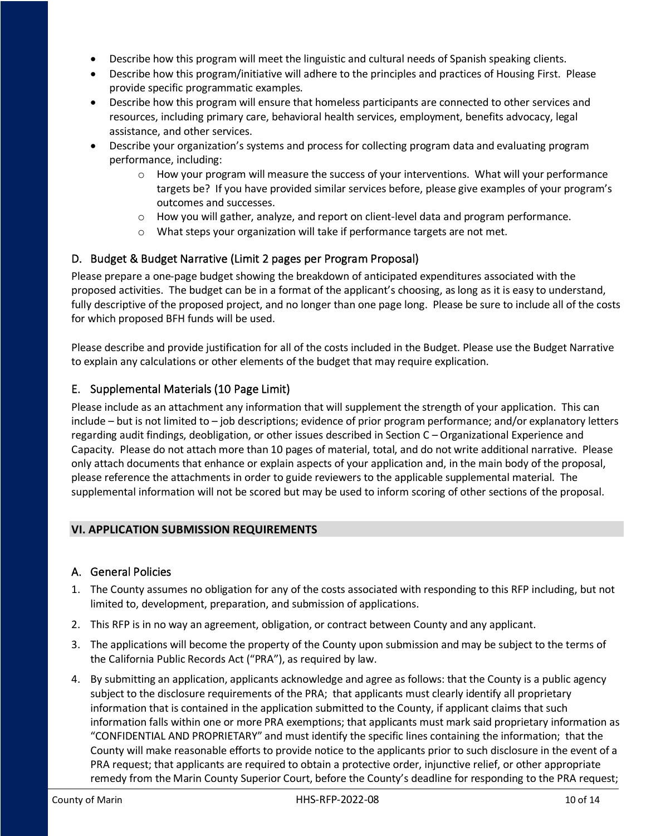- Describe how this program will meet the linguistic and cultural needs of Spanish speaking clients.
- Describe how this program/initiative will adhere to the principles and practices of Housing First. Please provide specific programmatic examples.
- Describe how this program will ensure that homeless participants are connected to other services and resources, including primary care, behavioral health services, employment, benefits advocacy, legal assistance, and other services.
- Describe your organization's systems and process for collecting program data and evaluating program performance, including:
	- $\circ$  How your program will measure the success of your interventions. What will your performance targets be? If you have provided similar services before, please give examples of your program's outcomes and successes.
	- $\circ$  How you will gather, analyze, and report on client-level data and program performance.
	- o What steps your organization will take if performance targets are not met.

### <span id="page-9-0"></span>D. Budget & Budget Narrative (Limit 2 pages per Program Proposal)

Please prepare a one-page budget showing the breakdown of anticipated expenditures associated with the proposed activities. The budget can be in a format of the applicant's choosing, as long as it is easy to understand, fully descriptive of the proposed project, and no longer than one page long. Please be sure to include all of the costs for which proposed BFH funds will be used.

Please describe and provide justification for all of the costs included in the Budget. Please use the Budget Narrative to explain any calculations or other elements of the budget that may require explication.

### <span id="page-9-1"></span>E. Supplemental Materials (10 Page Limit)

Please include as an attachment any information that will supplement the strength of your application. This can include – but is not limited to – job descriptions; evidence of prior program performance; and/or explanatory letters regarding audit findings, deobligation, or other issues described in Section C – Organizational Experience and Capacity. Please do not attach more than 10 pages of material, total, and do not write additional narrative. Please only attach documents that enhance or explain aspects of your application and, in the main body of the proposal, please reference the attachments in order to guide reviewers to the applicable supplemental material. The supplemental information will not be scored but may be used to inform scoring of other sections of the proposal.

#### <span id="page-9-2"></span>**VI. APPLICATION SUBMISSION REQUIREMENTS**

#### <span id="page-9-3"></span>A. General Policies

- 1. The County assumes no obligation for any of the costs associated with responding to this RFP including, but not limited to, development, preparation, and submission of applications.
- 2. This RFP is in no way an agreement, obligation, or contract between County and any applicant.
- 3. The applications will become the property of the County upon submission and may be subject to the terms of the California Public Records Act ("PRA"), as required by law.
- 4. By submitting an application, applicants acknowledge and agree as follows: that the County is a public agency subject to the disclosure requirements of the PRA; that applicants must clearly identify all proprietary information that is contained in the application submitted to the County, if applicant claims that such information falls within one or more PRA exemptions; that applicants must mark said proprietary information as "CONFIDENTIAL AND PROPRIETARY" and must identify the specific lines containing the information; that the County will make reasonable efforts to provide notice to the applicants prior to such disclosure in the event of a PRA request; that applicants are required to obtain a protective order, injunctive relief, or other appropriate remedy from the Marin County Superior Court, before the County's deadline for responding to the PRA request;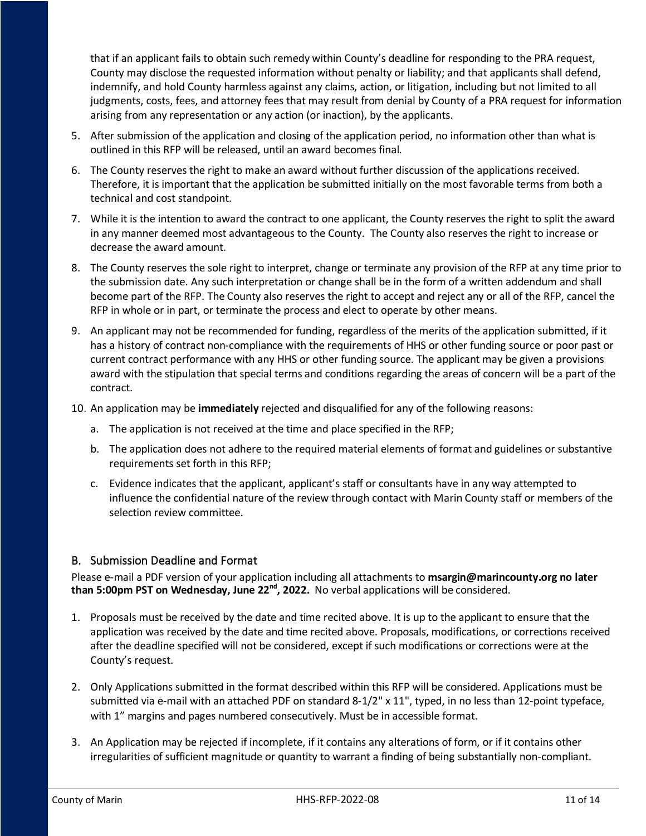that if an applicant fails to obtain such remedy within County's deadline for responding to the PRA request, County may disclose the requested information without penalty or liability; and that applicants shall defend, indemnify, and hold County harmless against any claims, action, or litigation, including but not limited to all judgments, costs, fees, and attorney fees that may result from denial by County of a PRA request for information arising from any representation or any action (or inaction), by the applicants.

- 5. After submission of the application and closing of the application period, no information other than what is outlined in this RFP will be released, until an award becomes final.
- 6. The County reserves the right to make an award without further discussion of the applications received. Therefore, it is important that the application be submitted initially on the most favorable terms from both a technical and cost standpoint.
- 7. While it is the intention to award the contract to one applicant, the County reserves the right to split the award in any manner deemed most advantageous to the County. The County also reserves the right to increase or decrease the award amount.
- 8. The County reserves the sole right to interpret, change or terminate any provision of the RFP at any time prior to the submission date. Any such interpretation or change shall be in the form of a written addendum and shall become part of the RFP. The County also reserves the right to accept and reject any or all of the RFP, cancel the RFP in whole or in part, or terminate the process and elect to operate by other means.
- 9. An applicant may not be recommended for funding, regardless of the merits of the application submitted, if it has a history of contract non-compliance with the requirements of HHS or other funding source or poor past or current contract performance with any HHS or other funding source. The applicant may be given a provisions award with the stipulation that special terms and conditions regarding the areas of concern will be a part of the contract.
- 10. An application may be **immediately** rejected and disqualified for any of the following reasons:
	- a. The application is not received at the time and place specified in the RFP;
	- b. The application does not adhere to the required material elements of format and guidelines or substantive requirements set forth in this RFP;
	- c. Evidence indicates that the applicant, applicant's staff or consultants have in any way attempted to influence the confidential nature of the review through contact with Marin County staff or members of the selection review committee.

### <span id="page-10-0"></span>B. Submission Deadline and Format

Please e-mail a PDF version of your application including all attachments to **msargin@marincounty.org no later than 5:00pm PST on Wednesday, June 22nd, 2022.** No verbal applications will be considered.

- 1. Proposals must be received by the date and time recited above. It is up to the applicant to ensure that the application was received by the date and time recited above. Proposals, modifications, or corrections received after the deadline specified will not be considered, except if such modifications or corrections were at the County's request.
- 2. Only Applications submitted in the format described within this RFP will be considered. Applications must be submitted via e-mail with an attached PDF on standard 8-1/2" x 11", typed, in no less than 12-point typeface, with 1" margins and pages numbered consecutively. Must be in accessible format.
- 3. An Application may be rejected if incomplete, if it contains any alterations of form, or if it contains other irregularities of sufficient magnitude or quantity to warrant a finding of being substantially non-compliant.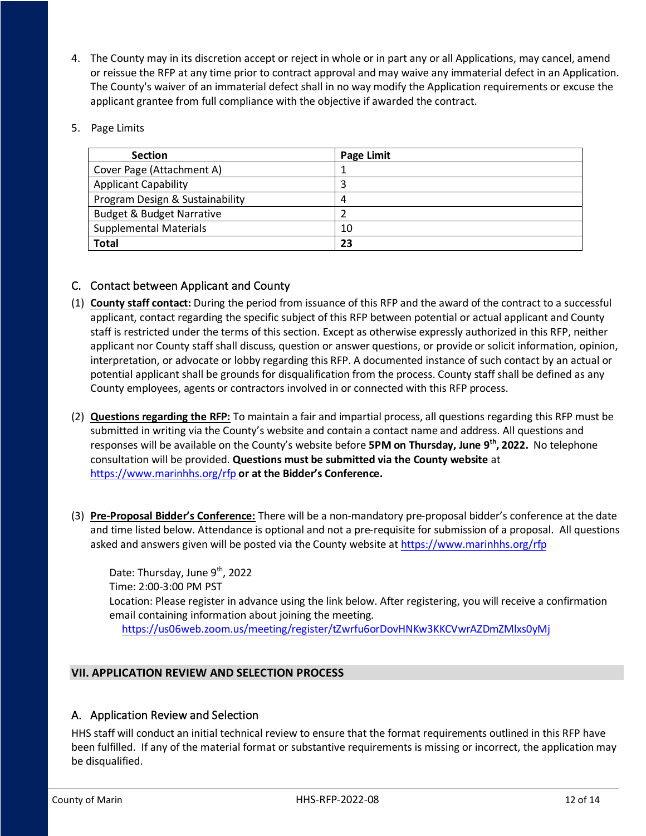- 4. The County may in its discretion accept or reject in whole or in part any or all Applications, may cancel, amend or reissue the RFP at any time prior to contract approval and may waive any immaterial defect in an Application. The County's waiver of an immaterial defect shall in no way modify the Application requirements or excuse the applicant grantee from full compliance with the objective if awarded the contract.
- 5. Page Limits

| <b>Section</b>                       | <b>Page Limit</b> |
|--------------------------------------|-------------------|
| Cover Page (Attachment A)            |                   |
| <b>Applicant Capability</b>          | 3                 |
| Program Design & Sustainability      | 4                 |
| <b>Budget &amp; Budget Narrative</b> |                   |
| <b>Supplemental Materials</b>        | 10                |
| <b>Total</b>                         | 23                |

### <span id="page-11-0"></span>C. Contact between Applicant and County

- (1) **County staff contact:** During the period from issuance of this RFP and the award of the contract to a successful applicant, contact regarding the specific subject of this RFP between potential or actual applicant and County staff is restricted under the terms of this section. Except as otherwise expressly authorized in this RFP, neither applicant nor County staff shall discuss, question or answer questions, or provide or solicit information, opinion, interpretation, or advocate or lobby regarding this RFP. A documented instance of such contact by an actual or potential applicant shall be grounds for disqualification from the process. County staff shall be defined as any County employees, agents or contractors involved in or connected with this RFP process.
- (2) **Questions regarding the RFP:** To maintain a fair and impartial process, all questions regarding this RFP must be submitted in writing via the County's website and contain a contact name and address. All questions and responses will be available on the County's website before **5PM on Thursday, June 9th, 2022.** No telephone consultation will be provided. **Questions must be submitted via the County website** at <https://www.marinhhs.org/rfp> **or at the Bidder's Conference.**
- (3) **Pre-Proposal Bidder's Conference:** There will be a non-mandatory pre-proposal bidder's conference at the date and time listed below. Attendance is optional and not a pre-requisite for submission of a proposal. All questions asked and answers given will be posted via the County website at<https://www.marinhhs.org/rfp>

Date: Thursday, June 9<sup>th</sup>, 2022 Time: 2:00-3:00 PM PST Location: Please register in advance using the link below. After registering, you will receive a confirmation email containing information about joining the meeting. <https://us06web.zoom.us/meeting/register/tZwrfu6orDovHNKw3KKCVwrAZDmZMlxs0yMj>

# <span id="page-11-1"></span>**VII. APPLICATION REVIEW AND SELECTION PROCESS**

### <span id="page-11-2"></span>A. Application Review and Selection

HHS staff will conduct an initial technical review to ensure that the format requirements outlined in this RFP have been fulfilled. If any of the material format or substantive requirements is missing or incorrect, the application may be disqualified.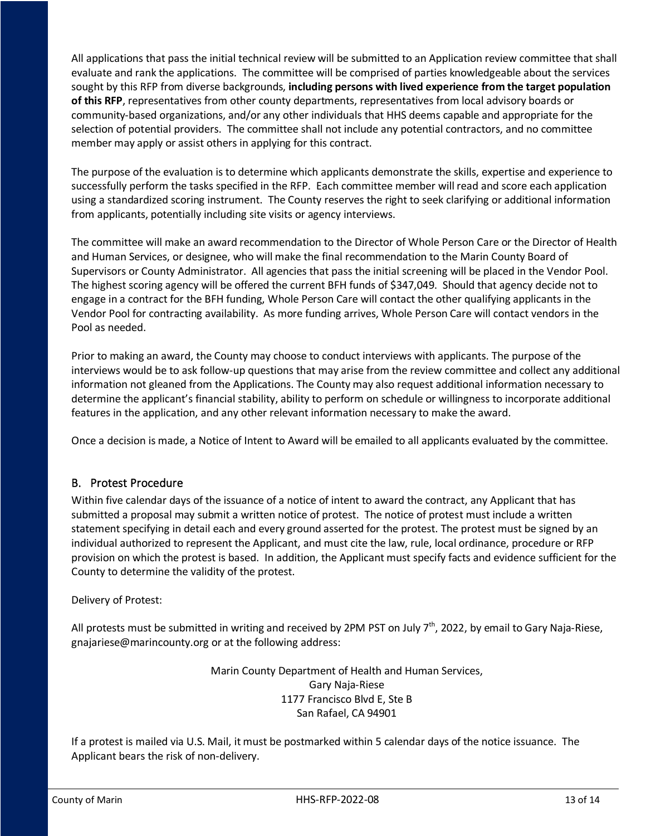All applications that pass the initial technical review will be submitted to an Application review committee that shall evaluate and rank the applications. The committee will be comprised of parties knowledgeable about the services sought by this RFP from diverse backgrounds, **including persons with lived experience from the target population of this RFP**, representatives from other county departments, representatives from local advisory boards or community-based organizations, and/or any other individuals that HHS deems capable and appropriate for the selection of potential providers. The committee shall not include any potential contractors, and no committee member may apply or assist others in applying for this contract.

The purpose of the evaluation is to determine which applicants demonstrate the skills, expertise and experience to successfully perform the tasks specified in the RFP. Each committee member will read and score each application using a standardized scoring instrument. The County reserves the right to seek clarifying or additional information from applicants, potentially including site visits or agency interviews.

The committee will make an award recommendation to the Director of Whole Person Care or the Director of Health and Human Services, or designee, who will make the final recommendation to the Marin County Board of Supervisors or County Administrator. All agencies that pass the initial screening will be placed in the Vendor Pool. The highest scoring agency will be offered the current BFH funds of \$347,049. Should that agency decide not to engage in a contract for the BFH funding, Whole Person Care will contact the other qualifying applicants in the Vendor Pool for contracting availability. As more funding arrives, Whole Person Care will contact vendors in the Pool as needed.

Prior to making an award, the County may choose to conduct interviews with applicants. The purpose of the interviews would be to ask follow-up questions that may arise from the review committee and collect any additional information not gleaned from the Applications. The County may also request additional information necessary to determine the applicant's financial stability, ability to perform on schedule or willingness to incorporate additional features in the application, and any other relevant information necessary to make the award.

Once a decision is made, a Notice of Intent to Award will be emailed to all applicants evaluated by the committee.

### <span id="page-12-0"></span>B. Protest Procedure

Within five calendar days of the issuance of a notice of intent to award the contract, any Applicant that has submitted a proposal may submit a written notice of protest. The notice of protest must include a written statement specifying in detail each and every ground asserted for the protest. The protest must be signed by an individual authorized to represent the Applicant, and must cite the law, rule, local ordinance, procedure or RFP provision on which the protest is based. In addition, the Applicant must specify facts and evidence sufficient for the County to determine the validity of the protest.

### Delivery of Protest:

All protests must be submitted in writing and received by 2PM PST on July  $7<sup>th</sup>$ , 2022, by email to Gary Naja-Riese, gnajariese@marincounty.org or at the following address:

> Marin County Department of Health and Human Services, Gary Naja-Riese 1177 Francisco Blvd E, Ste B San Rafael, CA 94901

If a protest is mailed via U.S. Mail, it must be postmarked within 5 calendar days of the notice issuance. The Applicant bears the risk of non-delivery.